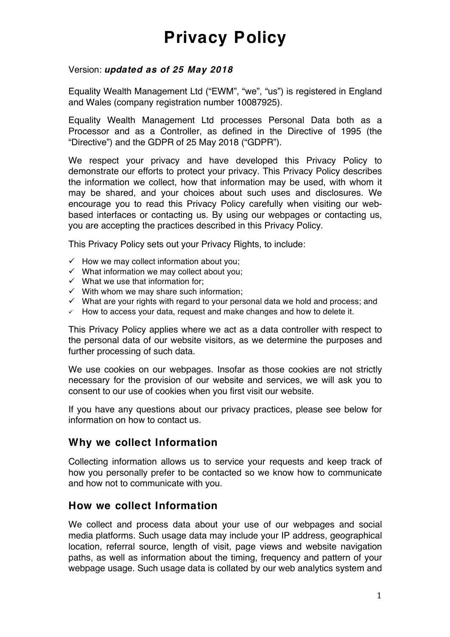#### Version: *updated as of 25 May 2018*

Equality Wealth Management Ltd ("EWM", "we", "us") is registered in England and Wales (company registration number 10087925).

Equality Wealth Management Ltd processes Personal Data both as a Processor and as a Controller, as defined in the Directive of 1995 (the "Directive") and the GDPR of 25 May 2018 ("GDPR").

We respect your privacy and have developed this Privacy Policy to demonstrate our efforts to protect your privacy. This Privacy Policy describes the information we collect, how that information may be used, with whom it may be shared, and your choices about such uses and disclosures. We encourage you to read this Privacy Policy carefully when visiting our webbased interfaces or contacting us. By using our webpages or contacting us, you are accepting the practices described in this Privacy Policy.

This Privacy Policy sets out your Privacy Rights, to include:

- $\checkmark$  How we may collect information about you;
- $\checkmark$  What information we may collect about you;
- $\checkmark$  What we use that information for:
- $\checkmark$  With whom we may share such information;
- $\checkmark$  What are your rights with regard to your personal data we hold and process; and
- $\checkmark$  How to access your data, request and make changes and how to delete it.

This Privacy Policy applies where we act as a data controller with respect to the personal data of our website visitors, as we determine the purposes and further processing of such data.

We use cookies on our webpages. Insofar as those cookies are not strictly necessary for the provision of our website and services, we will ask you to consent to our use of cookies when you first visit our website.

If you have any questions about our privacy practices, please see below for information on how to contact us.

#### **Why we collect Information**

Collecting information allows us to service your requests and keep track of how you personally prefer to be contacted so we know how to communicate and how not to communicate with you.

#### **How we collect Information**

We collect and process data about your use of our webpages and social media platforms. Such usage data may include your IP address, geographical location, referral source, length of visit, page views and website navigation paths, as well as information about the timing, frequency and pattern of your webpage usage. Such usage data is collated by our web analytics system and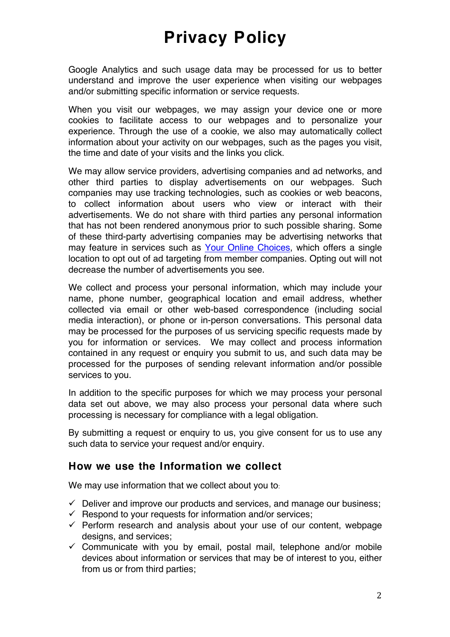Google Analytics and such usage data may be processed for us to better understand and improve the user experience when visiting our webpages and/or submitting specific information or service requests.

When you visit our webpages, we may assign your device one or more cookies to facilitate access to our webpages and to personalize your experience. Through the use of a cookie, we also may automatically collect information about your activity on our webpages, such as the pages you visit, the time and date of your visits and the links you click.

We may allow service providers, advertising companies and ad networks, and other third parties to display advertisements on our webpages. Such companies may use tracking technologies, such as cookies or web beacons, to collect information about users who view or interact with their advertisements. We do not share with third parties any personal information that has not been rendered anonymous prior to such possible sharing. Some of these third-party advertising companies may be advertising networks that may feature in services such as [Your Online Choices](http://www.youronlinechoices.com/), which offers a single location to opt out of ad targeting from member companies. Opting out will not decrease the number of advertisements you see.

We collect and process your personal information, which may include your name, phone number, geographical location and email address, whether collected via email or other web-based correspondence (including social media interaction), or phone or in-person conversations. This personal data may be processed for the purposes of us servicing specific requests made by you for information or services. We may collect and process information contained in any request or enquiry you submit to us, and such data may be processed for the purposes of sending relevant information and/or possible services to you.

In addition to the specific purposes for which we may process your personal data set out above, we may also process your personal data where such processing is necessary for compliance with a legal obligation.

By submitting a request or enquiry to us, you give consent for us to use any such data to service your request and/or enquiry.

#### **How we use the Information we collect**

We may use information that we collect about you to:

- $\checkmark$  Deliver and improve our products and services, and manage our business;
- $\checkmark$  Respond to your requests for information and/or services;
- $\checkmark$  Perform research and analysis about your use of our content, webpage designs, and services;
- $\checkmark$  Communicate with you by email, postal mail, telephone and/or mobile devices about information or services that may be of interest to you, either from us or from third parties;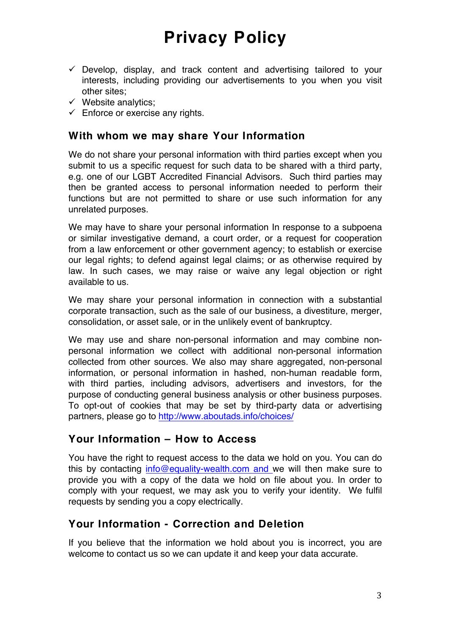- $\checkmark$  Develop, display, and track content and advertising tailored to your interests, including providing our advertisements to you when you visit other sites;
- $\checkmark$  Website analytics;
- $\checkmark$  Enforce or exercise any rights.

#### **With whom we may share Your Information**

We do not share your personal information with third parties except when you submit to us a specific request for such data to be shared with a third party, e.g. one of our LGBT Accredited Financial Advisors. Such third parties may then be granted access to personal information needed to perform their functions but are not permitted to share or use such information for any unrelated purposes.

We may have to share your personal information In response to a subpoena or similar investigative demand, a court order, or a request for cooperation from a law enforcement or other government agency; to establish or exercise our legal rights; to defend against legal claims; or as otherwise required by law. In such cases, we may raise or waive any legal objection or right available to us.

We may share your personal information in connection with a substantial corporate transaction, such as the sale of our business, a divestiture, merger, consolidation, or asset sale, or in the unlikely event of bankruptcy.

We may use and share non-personal information and may combine nonpersonal information we collect with additional non-personal information collected from other sources. We also may share aggregated, non-personal information, or personal information in hashed, non-human readable form, with third parties, including advisors, advertisers and investors, for the purpose of conducting general business analysis or other business purposes. To opt-out of cookies that may be set by third-party data or advertising partners, please go to<http://www.aboutads.info/choices/>

#### **Your Information – How to Access**

You have the right to request access to the data we hold on you. You can do this by contacting [info@equality-wealth.com](mailto:info@equality-wealth.com) and we will then make sure to provide you with a copy of the data we hold on file about you. In order to comply with your request, we may ask you to verify your identity. We fulfil requests by sending you a copy electrically.

### **Your Information - Correction and Deletion**

If you believe that the information we hold about you is incorrect, you are welcome to contact us so we can update it and keep your data accurate.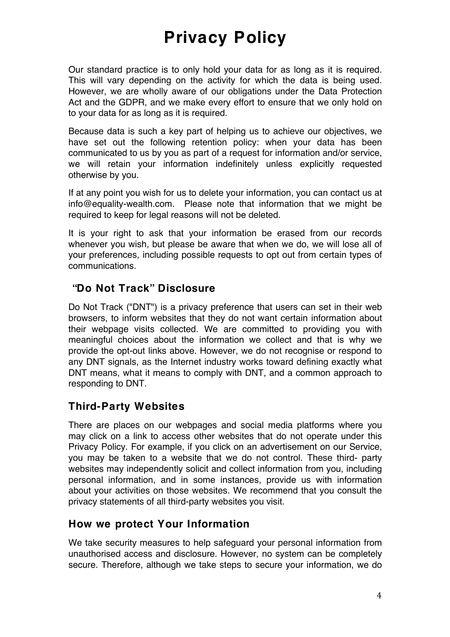Our standard practice is to only hold your data for as long as it is required. This will vary depending on the activity for which the data is being used. However, we are wholly aware of our obligations under the Data Protection Act and the GDPR, and we make every effort to ensure that we only hold on to your data for as long as it is required.

Because data is such a key part of helping us to achieve our objectives, we have set out the following retention policy: when your data has been communicated to us by you as part of a request for information and/or service, we will retain your information indefinitely unless explicitly requested otherwise by you.

If at any point you wish for us to delete your information, you can contact us at info@equality-wealth.com. Please note that information that we might be required to keep for legal reasons will not be deleted.

It is your right to ask that your information be erased from our records whenever you wish, but please be aware that when we do, we will lose all of your preferences, including possible requests to opt out from certain types of communications.

### **"Do Not Track" Disclosure**

Do Not Track ("DNT") is a privacy preference that users can set in their web browsers, to inform websites that they do not want certain information about their webpage visits collected. We are committed to providing you with meaningful choices about the information we collect and that is why we provide the opt-out links above. However, we do not recognise or respond to any DNT signals, as the Internet industry works toward defining exactly what DNT means, what it means to comply with DNT, and a common approach to responding to DNT.

## **Third-Party Websites**

There are places on our webpages and social media platforms where you may click on a link to access other websites that do not operate under this Privacy Policy. For example, if you click on an advertisement on our Service, you may be taken to a website that we do not control. These third- party websites may independently solicit and collect information from you, including personal information, and in some instances, provide us with information about your activities on those websites. We recommend that you consult the privacy statements of all third-party websites you visit.

### **How we protect Your Information**

We take security measures to help safeguard your personal information from unauthorised access and disclosure. However, no system can be completely secure. Therefore, although we take steps to secure your information, we do